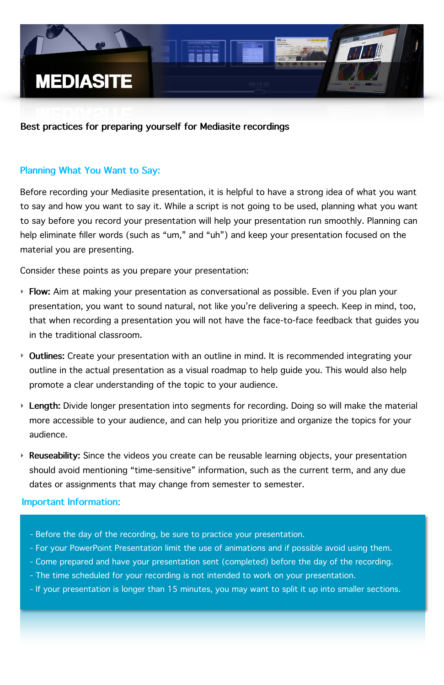Before recording your Mediasite presentation, it is helpful to have a strong idea of what you want to say and how you want to say it. While a script is not going to be used, planning what you want to say before you record your presentation will help your presentation run smoothly. Planning can help eliminate filler words (such as "um," and "uh") and keep your presentation focused on the material you are presenting.

- ‣ **Flow:** Aim at making your presentation as conversational as possible. Even if you plan your presentation, you want to sound natural, not like you're delivering a speech. Keep in mind, too, that when recording a presentation you will not have the face-to-face feedback that guides you in the traditional classroom.
- ‣ **Outlines:** Create your presentation with an outline in mind. It is recommended integrating your outline in the actual presentation as a visual roadmap to help guide you. This would also help promote a clear understanding of the topic to your audience.
- ‣ **Length:** Divide longer presentation into segments for recording. Doing so will make the material more accessible to your audience, and can help you prioritize and organize the topics for your audience.
- ‣ **Reuseability:** Since the videos you create can be reusable learning objects, your presentation should avoid mentioning "time-sensitive" information, such as the current term, and any due dates or assignments that may change from semester to semester.

Consider these points as you prepare your presentation:



## **Best practices for preparing yourself for Mediasite recordings**

### **Important Information:**

- Before the day of the recording, be sure to practice your presentation.
- For your PowerPoint Presentation limit the use of animations and if possible avoid using them.
- Come prepared and have your presentation sent (completed) before the day of the recording.
- The time scheduled for your recording is not intended to work on your presentation.
- If your presentation is longer than 15 minutes, you may want to split it up into smaller sections.

## **Planning What You Want to Say:**